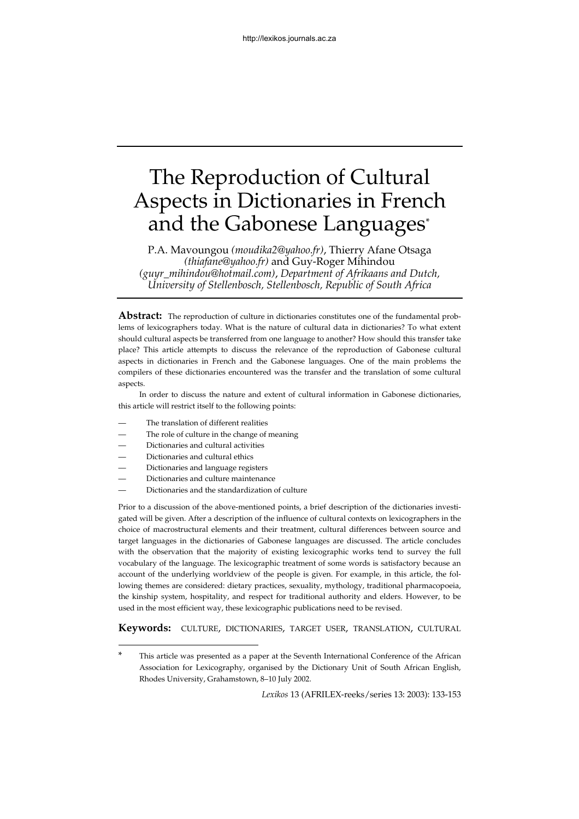# The Reproduction of Cultural Aspects in Dictionaries in French and the Gabonese Languages[\\*](#page-0-0)

P.A. Mavoungou *(moudika2@yahoo.fr)*, Thierry Afane Otsaga *(thiafane@yahoo.fr)* and Guy-Roger Mihindou *(guyr\_mihindou@hotmail.com)*, *Department of Afrikaans and Dutch, University of Stellenbosch, Stellenbosch, Republic of South Africa*

**Abstract:** The reproduction of culture in dictionaries constitutes one of the fundamental problems of lexicographers today. What is the nature of cultural data in dictionaries? To what extent should cultural aspects be transferred from one language to another? How should this transfer take place? This article attempts to discuss the relevance of the reproduction of Gabonese cultural aspects in dictionaries in French and the Gabonese languages. One of the main problems the compilers of these dictionaries encountered was the transfer and the translation of some cultural aspects.

In order to discuss the nature and extent of cultural information in Gabonese dictionaries, this article will restrict itself to the following points:

- The translation of different realities
- The role of culture in the change of meaning
- Dictionaries and cultural activities
- Dictionaries and cultural ethics

l

- Dictionaries and language registers
- Dictionaries and culture maintenance
- Dictionaries and the standardization of culture

Prior to a discussion of the above-mentioned points, a brief description of the dictionaries investigated will be given. After a description of the influence of cultural contexts on lexicographers in the choice of macrostructural elements and their treatment, cultural differences between source and target languages in the dictionaries of Gabonese languages are discussed. The article concludes with the observation that the majority of existing lexicographic works tend to survey the full vocabulary of the language. The lexicographic treatment of some words is satisfactory because an account of the underlying worldview of the people is given. For example, in this article, the following themes are considered: dietary practices, sexuality, mythology, traditional pharmacopoeia, the kinship system, hospitality, and respect for traditional authority and elders. However, to be used in the most efficient way, these lexicographic publications need to be revised.

**Keywords:** CULTURE, DICTIONARIES, TARGET USER, TRANSLATION, CULTURAL

*Lexikos* 13 (AFRILEX-reeks/series 13: 2003): 133-153

<span id="page-0-0"></span>This article was presented as a paper at the Seventh International Conference of the African Association for Lexicography, organised by the Dictionary Unit of South African English, Rhodes University, Grahamstown, 8–10 July 2002.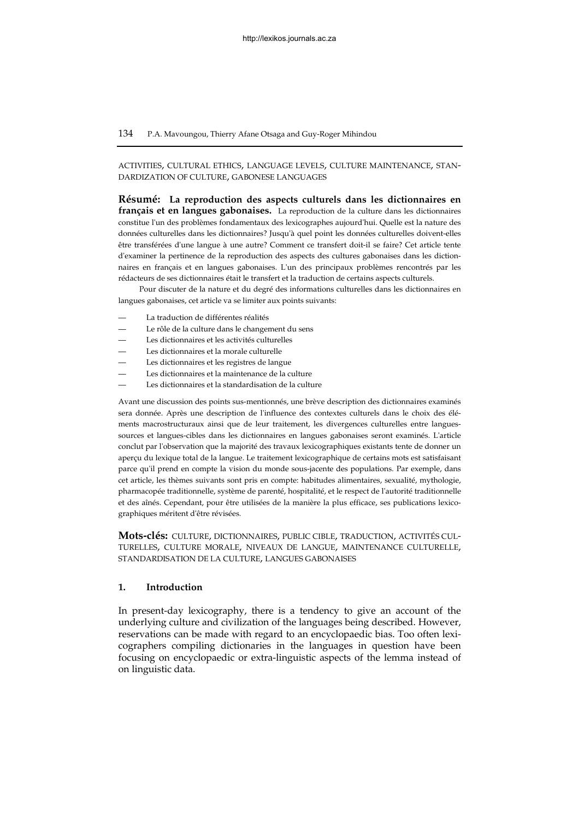ACTIVITIES, CULTURAL ETHICS, LANGUAGE LEVELS, CULTURE MAINTENANCE, STAN-DARDIZATION OF CULTURE, GABONESE LANGUAGES

**Résumé: La reproduction des aspects culturels dans les dictionnaires en français et en langues gabonaises.** La reproduction de la culture dans les dictionnaires constitue l'un des problèmes fondamentaux des lexicographes aujourd'hui. Quelle est la nature des données culturelles dans les dictionnaires? Jusqu'à quel point les données culturelles doivent-elles être transférées d'une langue à une autre? Comment ce transfert doit-il se faire? Cet article tente d'examiner la pertinence de la reproduction des aspects des cultures gabonaises dans les dictionnaires en français et en langues gabonaises. L'un des principaux problèmes rencontrés par les rédacteurs de ses dictionnaires était le transfert et la traduction de certains aspects culturels.

Pour discuter de la nature et du degré des informations culturelles dans les dictionnaires en langues gabonaises, cet article va se limiter aux points suivants:

- La traduction de différentes réalités
- Le rôle de la culture dans le changement du sens
- Les dictionnaires et les activités culturelles
- Les dictionnaires et la morale culturelle
- Les dictionnaires et les registres de langue
- Les dictionnaires et la maintenance de la culture
- Les dictionnaires et la standardisation de la culture

Avant une discussion des points sus-mentionnés, une brève description des dictionnaires examinés sera donnée. Après une description de l'influence des contextes culturels dans le choix des éléments macrostructuraux ainsi que de leur traitement, les divergences culturelles entre languessources et langues-cibles dans les dictionnaires en langues gabonaises seront examinés. L'article conclut par l'observation que la majorité des travaux lexicographiques existants tente de donner un aperçu du lexique total de la langue. Le traitement lexicographique de certains mots est satisfaisant parce qu'il prend en compte la vision du monde sous-jacente des populations. Par exemple, dans cet article, les thèmes suivants sont pris en compte: habitudes alimentaires, sexualité, mythologie, pharmacopée traditionnelle, système de parenté, hospitalité, et le respect de l'autorité traditionnelle et des aînés. Cependant, pour être utilisées de la manière la plus efficace, ses publications lexicographiques méritent d'être révisées.

**Mots-clés:** CULTURE, DICTIONNAIRES, PUBLIC CIBLE, TRADUCTION, ACTIVITÉS CUL-TURELLES, CULTURE MORALE, NIVEAUX DE LANGUE, MAINTENANCE CULTURELLE, STANDARDISATION DE LA CULTURE, LANGUES GABONAISES

#### **1. Introduction**

In present-day lexicography, there is a tendency to give an account of the underlying culture and civilization of the languages being described. However, reservations can be made with regard to an encyclopaedic bias. Too often lexicographers compiling dictionaries in the languages in question have been focusing on encyclopaedic or extra-linguistic aspects of the lemma instead of on linguistic data.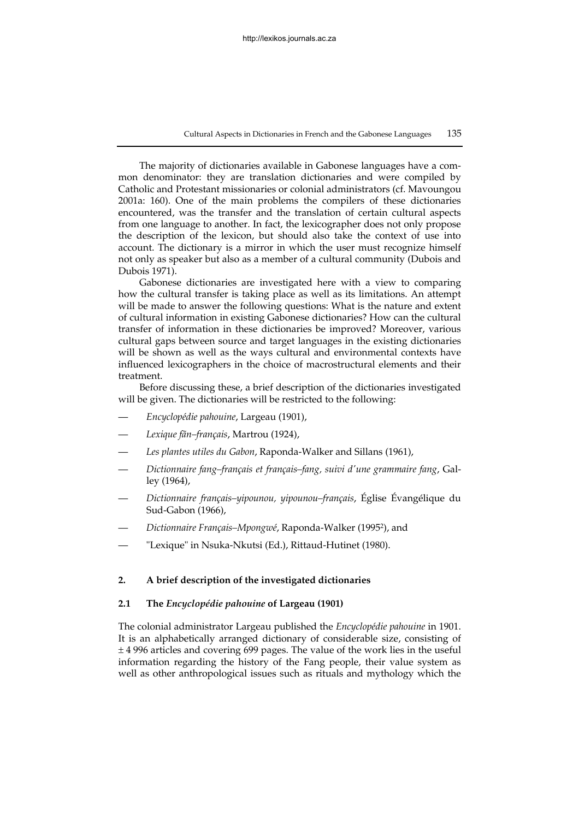Cultural Aspects in Dictionaries in French and the Gabonese Languages 135

The majority of dictionaries available in Gabonese languages have a common denominator: they are translation dictionaries and were compiled by Catholic and Protestant missionaries or colonial administrators (cf. Mavoungou 2001a: 160). One of the main problems the compilers of these dictionaries encountered, was the transfer and the translation of certain cultural aspects from one language to another. In fact, the lexicographer does not only propose the description of the lexicon, but should also take the context of use into account. The dictionary is a mirror in which the user must recognize himself not only as speaker but also as a member of a cultural community (Dubois and Dubois 1971).

Gabonese dictionaries are investigated here with a view to comparing how the cultural transfer is taking place as well as its limitations. An attempt will be made to answer the following questions: What is the nature and extent of cultural information in existing Gabonese dictionaries? How can the cultural transfer of information in these dictionaries be improved? Moreover, various cultural gaps between source and target languages in the existing dictionaries will be shown as well as the ways cultural and environmental contexts have influenced lexicographers in the choice of macrostructural elements and their treatment.

Before discussing these, a brief description of the dictionaries investigated will be given. The dictionaries will be restricted to the following:

- *Encyclopédie pahouine*, Largeau (1901),
- *Lexique fãn–français*, Martrou (1924),
- *Les plantes utiles du Gabon*, Raponda-Walker and Sillans (1961),
- *Dictionnaire fang–français et français–fang, suivi d'une grammaire fang*, Galley (1964),
- *Dictionnaire français–yipounou, yipounou–français*, Église Évangélique du Sud-Gabon (1966),
- *Dictionnaire Français–Mpongwé*, Raponda-Walker (19952), and
- "Lexique" in Nsuka-Nkutsi (Ed.), Rittaud-Hutinet (1980).

## **2. A brief description of the investigated dictionaries**

## **2.1 The** *Encyclopédie pahouine* **of Largeau (1901)**

The colonial administrator Largeau published the *Encyclopédie pahouine* in 1901. It is an alphabetically arranged dictionary of considerable size, consisting of ± 4 996 articles and covering 699 pages. The value of the work lies in the useful information regarding the history of the Fang people, their value system as well as other anthropological issues such as rituals and mythology which the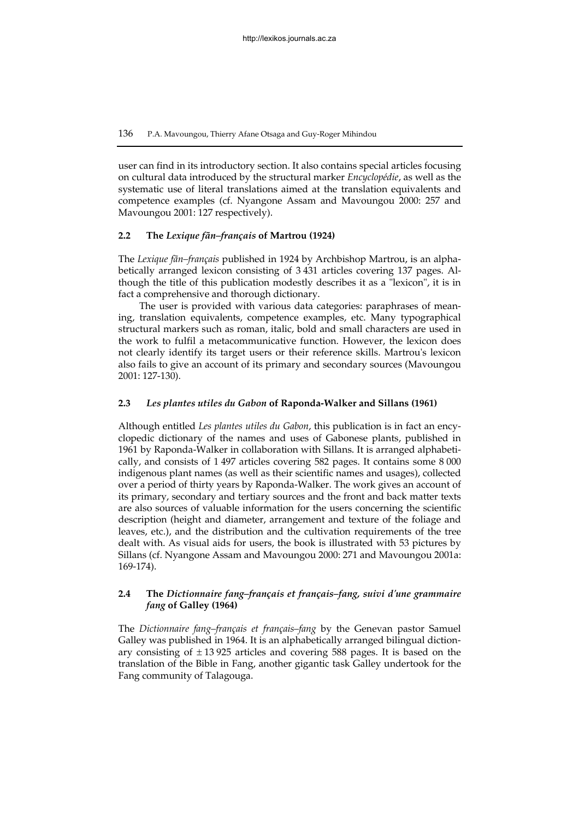user can find in its introductory section. It also contains special articles focusing on cultural data introduced by the structural marker *Encyclopédie*, as well as the systematic use of literal translations aimed at the translation equivalents and competence examples (cf. Nyangone Assam and Mavoungou 2000: 257 and Mavoungou 2001: 127 respectively).

## **2.2 The** *Lexique fãn–français* **of Martrou (1924)**

The *Lexique fãn–français* published in 1924 by Archbishop Martrou, is an alphabetically arranged lexicon consisting of 3 431 articles covering 137 pages. Although the title of this publication modestly describes it as a "lexicon", it is in fact a comprehensive and thorough dictionary.

The user is provided with various data categories: paraphrases of meaning, translation equivalents, competence examples, etc. Many typographical structural markers such as roman, italic, bold and small characters are used in the work to fulfil a metacommunicative function. However, the lexicon does not clearly identify its target users or their reference skills. Martrou's lexicon also fails to give an account of its primary and secondary sources (Mavoungou 2001: 127-130).

# **2.3** *Les plantes utiles du Gabon* **of Raponda-Walker and Sillans (1961)**

Although entitled *Les plantes utiles du Gabon*, this publication is in fact an encyclopedic dictionary of the names and uses of Gabonese plants, published in 1961 by Raponda-Walker in collaboration with Sillans. It is arranged alphabetically, and consists of 1 497 articles covering 582 pages. It contains some 8 000 indigenous plant names (as well as their scientific names and usages), collected over a period of thirty years by Raponda-Walker. The work gives an account of its primary, secondary and tertiary sources and the front and back matter texts are also sources of valuable information for the users concerning the scientific description (height and diameter, arrangement and texture of the foliage and leaves, etc.), and the distribution and the cultivation requirements of the tree dealt with. As visual aids for users, the book is illustrated with 53 pictures by Sillans (cf. Nyangone Assam and Mavoungou 2000: 271 and Mavoungou 2001a: 169-174).

# **2.4 The** *Dictionnaire fang–français et français–fang, suivi d'une grammaire fang* **of Galley (1964)**

The *Dictionnaire fang–français et français–fang* by the Genevan pastor Samuel Galley was published in 1964. It is an alphabetically arranged bilingual dictionary consisting of  $\pm$  13 925 articles and covering 588 pages. It is based on the translation of the Bible in Fang, another gigantic task Galley undertook for the Fang community of Talagouga.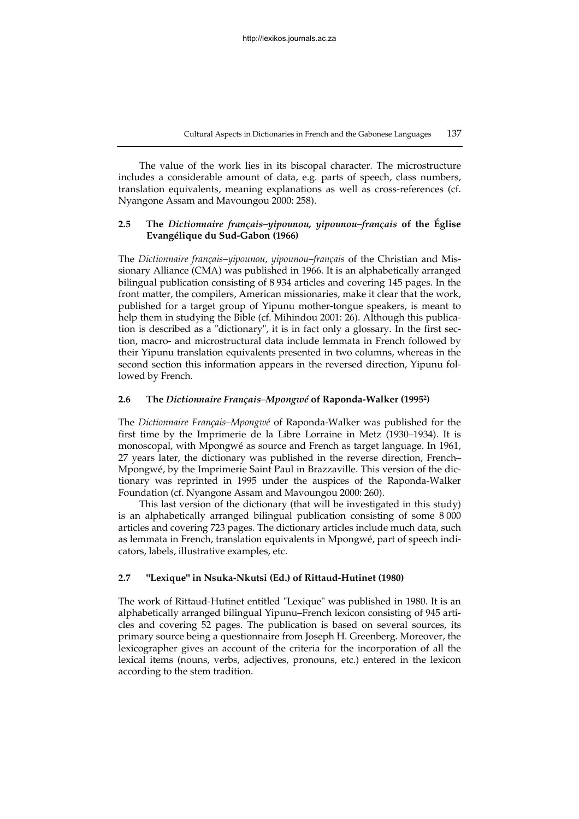The value of the work lies in its biscopal character. The microstructure includes a considerable amount of data, e.g. parts of speech, class numbers, translation equivalents, meaning explanations as well as cross-references (cf. Nyangone Assam and Mavoungou 2000: 258).

# **2.5 The** *Dictionnaire français–yipounou, yipounou–français* **of the Église Evangélique du Sud-Gabon (1966)**

The *Dictionnaire français–yipounou, yipounou–français* of the Christian and Missionary Alliance (CMA) was published in 1966. It is an alphabetically arranged bilingual publication consisting of 8 934 articles and covering 145 pages. In the front matter, the compilers, American missionaries, make it clear that the work, published for a target group of Yipunu mother-tongue speakers, is meant to help them in studying the Bible (cf. Mihindou 2001: 26). Although this publication is described as a "dictionary", it is in fact only a glossary. In the first section, macro- and microstructural data include lemmata in French followed by their Yipunu translation equivalents presented in two columns, whereas in the second section this information appears in the reversed direction, Yipunu followed by French.

# **2.6 The** *Dictionnaire Français–Mpongwé* **of Raponda-Walker (19952)**

The *Dictionnaire Français–Mpongwé* of Raponda-Walker was published for the first time by the Imprimerie de la Libre Lorraine in Metz (1930–1934). It is monoscopal, with Mpongwé as source and French as target language. In 1961, 27 years later, the dictionary was published in the reverse direction, French– Mpongwé, by the Imprimerie Saint Paul in Brazzaville. This version of the dictionary was reprinted in 1995 under the auspices of the Raponda-Walker Foundation (cf. Nyangone Assam and Mavoungou 2000: 260).

This last version of the dictionary (that will be investigated in this study) is an alphabetically arranged bilingual publication consisting of some 8 000 articles and covering 723 pages. The dictionary articles include much data, such as lemmata in French, translation equivalents in Mpongwé, part of speech indicators, labels, illustrative examples, etc.

## **2.7 "Lexique" in Nsuka-Nkutsi (Ed.) of Rittaud-Hutinet (1980)**

The work of Rittaud-Hutinet entitled "Lexique" was published in 1980. It is an alphabetically arranged bilingual Yipunu–French lexicon consisting of 945 articles and covering 52 pages. The publication is based on several sources, its primary source being a questionnaire from Joseph H. Greenberg. Moreover, the lexicographer gives an account of the criteria for the incorporation of all the lexical items (nouns, verbs, adjectives, pronouns, etc.) entered in the lexicon according to the stem tradition.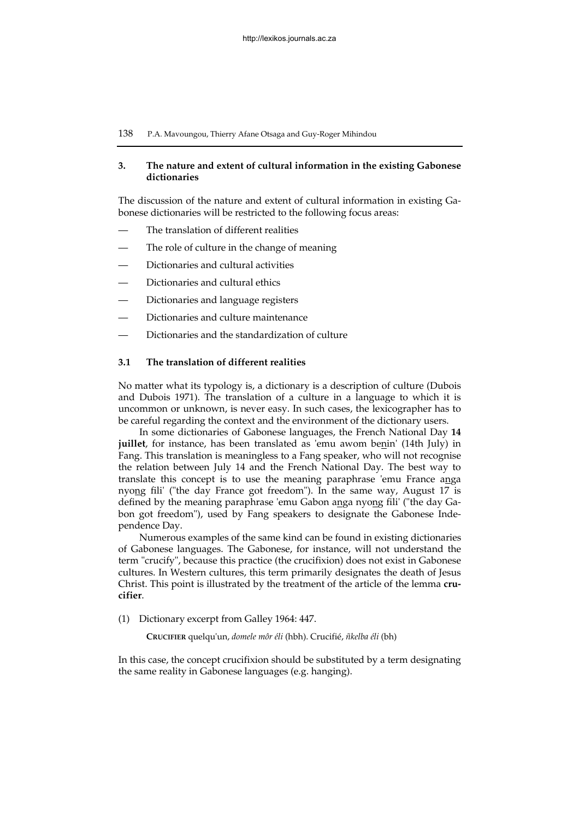## **3. The nature and extent of cultural information in the existing Gabonese dictionaries**

The discussion of the nature and extent of cultural information in existing Gabonese dictionaries will be restricted to the following focus areas:

- The translation of different realities
- The role of culture in the change of meaning
- Dictionaries and cultural activities
- Dictionaries and cultural ethics
- Dictionaries and language registers
- Dictionaries and culture maintenance
- Dictionaries and the standardization of culture

# **3.1 The translation of different realities**

No matter what its typology is, a dictionary is a description of culture (Dubois and Dubois 1971). The translation of a culture in a language to which it is uncommon or unknown, is never easy. In such cases, the lexicographer has to be careful regarding the context and the environment of the dictionary users.

In some dictionaries of Gabonese languages, the French National Day **14 juillet**, for instance, has been translated as 'emu awom benin' (14th July) in Fang. This translation is meaningless to a Fang speaker, who will not recognise the relation between July 14 and the French National Day. The best way to translate this concept is to use the meaning paraphrase 'emu France anga nyong fili' ("the day France got freedom"). In the same way, August 17 is defined by the meaning paraphrase 'emu Gabon anga nyong fili' ("the day Gabon got freedom"), used by Fang speakers to designate the Gabonese Independence Day.

Numerous examples of the same kind can be found in existing dictionaries of Gabonese languages. The Gabonese, for instance, will not understand the term "crucify", because this practice (the crucifixion) does not exist in Gabonese cultures. In Western cultures, this term primarily designates the death of Jesus Christ. This point is illustrated by the treatment of the article of the lemma **crucifier**.

(1) Dictionary excerpt from Galley 1964: 447.

 **CRUCIFIER** quelqu'un, *domele môr éli* (hbh). Crucifié, *ñkelba éli* (bh)

In this case, the concept crucifixion should be substituted by a term designating the same reality in Gabonese languages (e.g. hanging).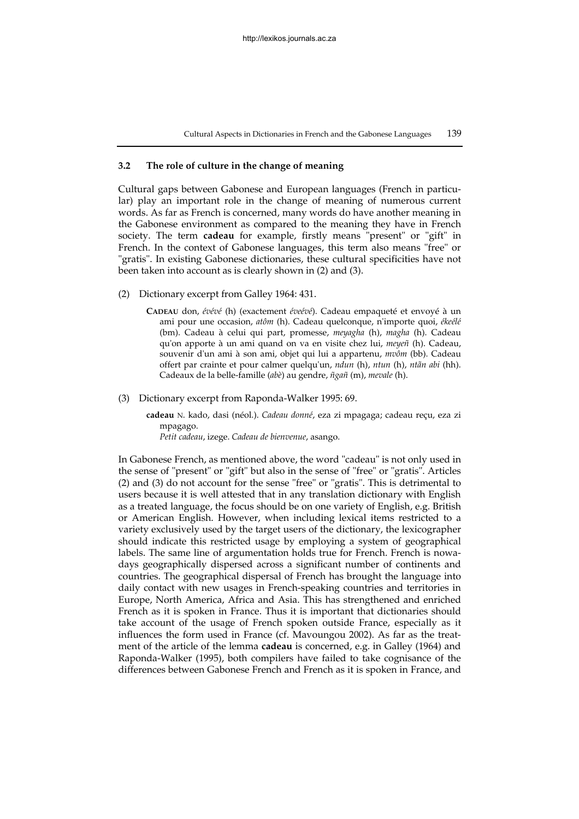### **3.2 The role of culture in the change of meaning**

Cultural gaps between Gabonese and European languages (French in particular) play an important role in the change of meaning of numerous current words. As far as French is concerned, many words do have another meaning in the Gabonese environment as compared to the meaning they have in French society. The term **cadeau** for example, firstly means "present" or "gift" in French. In the context of Gabonese languages, this term also means "free" or "gratis". In existing Gabonese dictionaries, these cultural specificities have not been taken into account as is clearly shown in (2) and (3).

- (2) Dictionary excerpt from Galley 1964: 431.
	- **CADEAU** don, *évévé* (h) (exactement *éveévé*). Cadeau empaqueté et envoyé à un ami pour une occasion, *atôm* (h). Cadeau quelconque, n'importe quoi, *ékeélé* (bm). Cadeau à celui qui part, promesse, *meyagha* (h), *magha* (h). Cadeau qu'on apporte à un ami quand on va en visite chez lui, *meyeñ* (h). Cadeau, souvenir d'un ami à son ami, objet qui lui a appartenu, *mvôm* (bb). Cadeau offert par crainte et pour calmer quelqu'un, *ndun* (h), *ntun* (h), *ntãn abi* (hh). Cadeaux de la belle-famille (*abè*) au gendre, *ñgañ* (m), *mevale* (h).
- (3) Dictionary excerpt from Raponda-Walker 1995: 69.

 **cadeau** N. kado, dasi (néol.). *Cadeau donné*, eza zi mpagaga; cadeau reçu, eza zi mpagago.

 *Petit cadeau*, izege. *Cadeau de bienvenue*, asango.

In Gabonese French, as mentioned above, the word "cadeau" is not only used in the sense of "present" or "gift" but also in the sense of "free" or "gratis". Articles (2) and (3) do not account for the sense "free" or "gratis". This is detrimental to users because it is well attested that in any translation dictionary with English as a treated language, the focus should be on one variety of English, e.g. British or American English. However, when including lexical items restricted to a variety exclusively used by the target users of the dictionary, the lexicographer should indicate this restricted usage by employing a system of geographical labels. The same line of argumentation holds true for French. French is nowadays geographically dispersed across a significant number of continents and countries. The geographical dispersal of French has brought the language into daily contact with new usages in French-speaking countries and territories in Europe, North America, Africa and Asia. This has strengthened and enriched French as it is spoken in France. Thus it is important that dictionaries should take account of the usage of French spoken outside France, especially as it influences the form used in France (cf. Mavoungou 2002). As far as the treatment of the article of the lemma **cadeau** is concerned, e.g. in Galley (1964) and Raponda-Walker (1995), both compilers have failed to take cognisance of the differences between Gabonese French and French as it is spoken in France, and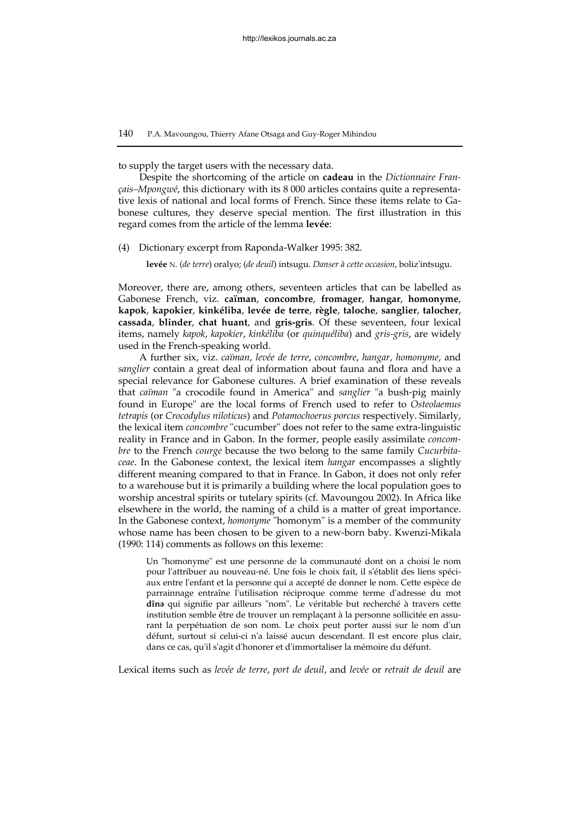to supply the target users with the necessary data.

Despite the shortcoming of the article on **cadeau** in the *Dictionnaire Français–Mpongwé*, this dictionary with its 8 000 articles contains quite a representative lexis of national and local forms of French. Since these items relate to Gabonese cultures, they deserve special mention. The first illustration in this regard comes from the article of the lemma **levée**:

#### (4) Dictionary excerpt from Raponda-Walker 1995: 382.

 **levée** N. (*de terre*) oralyo; (*de deuil*) intsugu. *Danser à cette occasion*, boliz'intsugu.

Moreover, there are, among others, seventeen articles that can be labelled as Gabonese French, viz. **caïman**, **concombre**, **fromager**, **hangar**, **homonyme**, **kapok**, **kapokier**, **kinkéliba**, **levée de terre**, **règle**, **taloche**, **sanglier**, **talocher**, **cassada**, **blinder**, **chat huant**, and **gris-gris**. Of these seventeen, four lexical items, namely *kapok*, *kapokier*, *kinkéliba* (or *quinquéliba*) and *gris-gris*, are widely used in the French-speaking world.

A further six, viz. *caïman*, *levée de terre*, *concombre*, *hangar*, *homonyme*, and *sanglier* contain a great deal of information about fauna and flora and have a special relevance for Gabonese cultures. A brief examination of these reveals that *caïman* "a crocodile found in America" and *sanglier* "a bush-pig mainly found in Europe" are the local forms of French used to refer to *Osteolaemus tetrapis* (or *Crocodylus niloticus*) and *Potamochoerus porcus* respectively. Similarly, the lexical item *concombre* "cucumber" does not refer to the same extra-linguistic reality in France and in Gabon. In the former, people easily assimilate *concombre* to the French *courge* because the two belong to the same family *Cucurbitaceae*. In the Gabonese context, the lexical item *hangar* encompasses a slightly different meaning compared to that in France. In Gabon, it does not only refer to a warehouse but it is primarily a building where the local population goes to worship ancestral spirits or tutelary spirits (cf. Mavoungou 2002). In Africa like elsewhere in the world, the naming of a child is a matter of great importance. In the Gabonese context, *homonyme* "homonym" is a member of the community whose name has been chosen to be given to a new-born baby. Kwenzi-Mikala (1990: 114) comments as follows on this lexeme:

 Un "homonyme" est une personne de la communauté dont on a choisi le nom pour l'attribuer au nouveau-né. Une fois le choix fait, il s'établit des liens spéciaux entre l'enfant et la personne qui a accepté de donner le nom. Cette espèce de parrainnage entraîne l'utilisation réciproque comme terme d'adresse du mot dîna qui signifie par ailleurs "nom". Le véritable but recherché à travers cette institution semble être de trouver un remplaçant à la personne sollicitée en assurant la perpétuation de son nom. Le choix peut porter aussi sur le nom d'un défunt, surtout si celui-ci n'a laissé aucun descendant. Il est encore plus clair, dans ce cas, qu'il s'agit d'honorer et d'immortaliser la mémoire du défunt.

Lexical items such as *levée de terre*, *port de deuil*, and *levée* or *retrait de deuil* are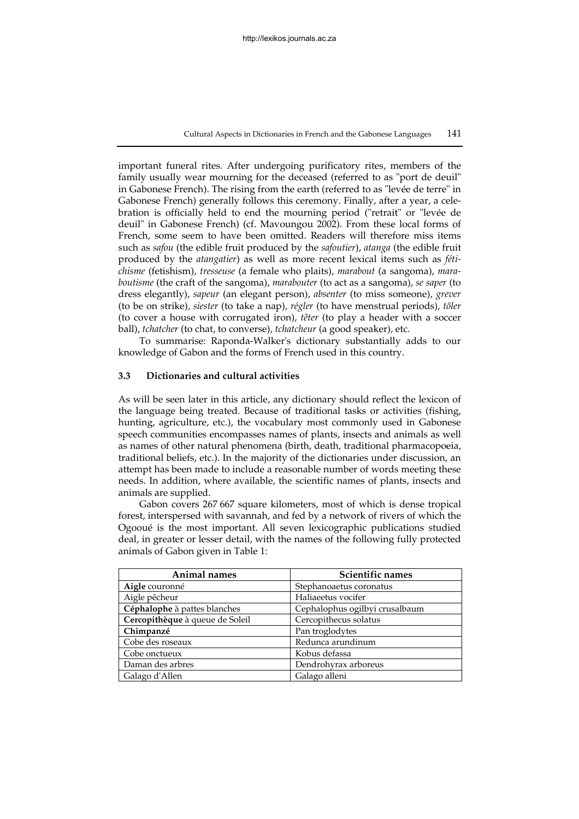important funeral rites. After undergoing purificatory rites, members of the family usually wear mourning for the deceased (referred to as "port de deuil" in Gabonese French). The rising from the earth (referred to as "levée de terre" in Gabonese French) generally follows this ceremony. Finally, after a year, a celebration is officially held to end the mourning period ("retrait" or "levée de deuil" in Gabonese French) (cf. Mavoungou 2002). From these local forms of French, some seem to have been omitted. Readers will therefore miss items such as *safou* (the edible fruit produced by the *safoutier*), *atanga* (the edible fruit produced by the *atangatier*) as well as more recent lexical items such as *fétichisme* (fetishism), *tresseuse* (a female who plaits), *marabout* (a sangoma), *maraboutisme* (the craft of the sangoma), *marabouter* (to act as a sangoma), *se saper* (to dress elegantly), *sapeur* (an elegant person), *absenter* (to miss someone), *grever* (to be on strike), *siester* (to take a nap), *régler* (to have menstrual periods), *tôler* (to cover a house with corrugated iron), *têter* (to play a header with a soccer ball), *tchatcher* (to chat, to converse), *tchatcheur* (a good speaker), etc.

To summarise: Raponda-Walker's dictionary substantially adds to our knowledge of Gabon and the forms of French used in this country.

## **3.3 Dictionaries and cultural activities**

As will be seen later in this article, any dictionary should reflect the lexicon of the language being treated. Because of traditional tasks or activities (fishing, hunting, agriculture, etc.), the vocabulary most commonly used in Gabonese speech communities encompasses names of plants, insects and animals as well as names of other natural phenomena (birth, death, traditional pharmacopoeia, traditional beliefs, etc.). In the majority of the dictionaries under discussion, an attempt has been made to include a reasonable number of words meeting these needs. In addition, where available, the scientific names of plants, insects and animals are supplied.

Gabon covers 267 667 square kilometers, most of which is dense tropical forest, interspersed with savannah, and fed by a network of rivers of which the Ogooué is the most important. All seven lexicographic publications studied deal, in greater or lesser detail, with the names of the following fully protected animals of Gabon given in Table 1:

| Animal names                    | Scientific names               |
|---------------------------------|--------------------------------|
| Aigle couronné                  | Stephanoaetus coronatus        |
| Aigle pêcheur                   | Haliaeetus vocifer             |
| Céphalophe à pattes blanches    | Cephalophus ogilbyi crusalbaum |
| Cercopithèque à queue de Soleil | Cercopithecus solatus          |
| Chimpanzé                       | Pan troglodytes                |
| Cobe des roseaux                | Redunca arundinum              |
| Cobe onctueux                   | Kobus defassa                  |
| Daman des arbres                | Dendrohyrax arboreus           |
| Galago d'Allen                  | Galago alleni                  |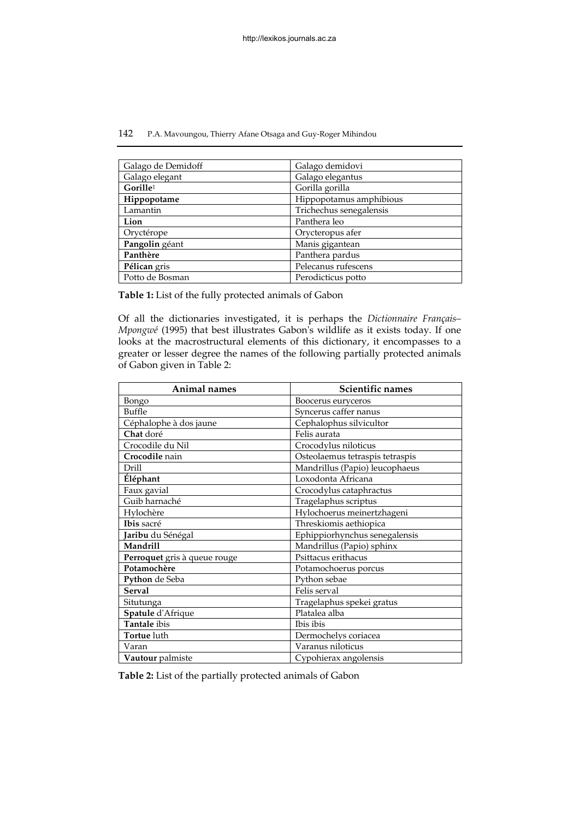| 142 |  | P.A. Mavoungou, Thierry Afane Otsaga and Guy-Roger Mihindou |
|-----|--|-------------------------------------------------------------|
|     |  |                                                             |

| Galago de Demidoff   | Galago demidovi         |
|----------------------|-------------------------|
| Galago elegant       | Galago elegantus        |
| Gorille <sup>1</sup> | Gorilla gorilla         |
| Hippopotame          | Hippopotamus amphibious |
| Lamantin             | Trichechus senegalensis |
| Lion                 | Panthera leo            |
| Oryctérope           | Orycteropus afer        |
| Pangolin géant       | Manis gigantean         |
| Panthère             | Panthera pardus         |
| Pélican gris         | Pelecanus rufescens     |
| Potto de Bosman      | Perodicticus potto      |

**Table 1:** List of the fully protected animals of Gabon

Of all the dictionaries investigated, it is perhaps the *Dictionnaire Français– Mpongwé* (1995) that best illustrates Gabon's wildlife as it exists today. If one looks at the macrostructural elements of this dictionary, it encompasses to a greater or lesser degree the names of the following partially protected animals of Gabon given in Table 2:

| <b>Animal names</b>          | Scientific names                |
|------------------------------|---------------------------------|
| Bongo                        | Boocerus euryceros              |
| Buffle                       | Syncerus caffer nanus           |
| Céphalophe à dos jaune       | Cephalophus silvicultor         |
| Chat doré                    | Felis aurata                    |
| Crocodile du Nil             | Crocodylus niloticus            |
| Crocodile nain               | Osteolaemus tetraspis tetraspis |
| Drill                        | Mandrillus (Papio) leucophaeus  |
| <b>Éléphant</b>              | Loxodonta Africana              |
| Faux gavial                  | Crocodylus cataphractus         |
| Guib harnaché                | Tragelaphus scriptus            |
| Hylochère                    | Hylochoerus meinertzhageni      |
| Ibis sacré                   | Threskiomis aethiopica          |
| Jaribu du Sénégal            | Ephippiorhynchus senegalensis   |
| Mandrill                     | Mandrillus (Papio) sphinx       |
| Perroquet gris à queue rouge | Psittacus erithacus             |
| Potamochère                  | Potamochoerus porcus            |
| Python de Seba               | Python sebae                    |
| <b>Serval</b>                | Felis serval                    |
| Situtunga                    | Tragelaphus spekei gratus       |
| Spatule d'Afrique            | Platalea alba                   |
| Tantale ibis                 | Ibis ibis                       |
| Tortue luth                  | Dermochelys coriacea            |
| Varan                        | Varanus niloticus               |
| Vautour palmiste             | Cypohierax angolensis           |

**Table 2:** List of the partially protected animals of Gabon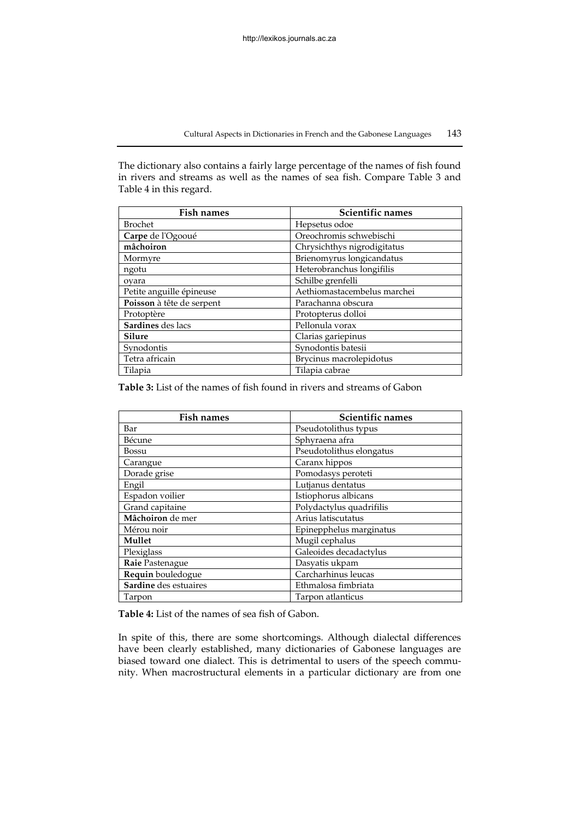The dictionary also contains a fairly large percentage of the names of fish found in rivers and streams as well as the names of sea fish. Compare Table 3 and Table 4 in this regard.

| <b>Fish names</b>         | Scientific names            |
|---------------------------|-----------------------------|
| <b>Brochet</b>            | Hepsetus odoe               |
| Carpe de l'Ogooué         | Oreochromis schwebischi     |
| mâchoiron                 | Chrysichthys nigrodigitatus |
| Mormyre                   | Brienomyrus longicandatus   |
| ngotu                     | Heterobranchus longifilis   |
| ovara                     | Schilbe grenfelli           |
| Petite anguille épineuse  | Aethiomastacembelus marchei |
| Poisson à tête de serpent | Parachanna obscura          |
| Protoptère                | Protopterus dolloi          |
| Sardines des lacs         | Pellonula vorax             |
| <b>Silure</b>             | Clarias gariepinus          |
| Synodontis                | Synodontis batesii          |
| Tetra africain            | Brycinus macrolepidotus     |
| Tilapia                   | Tilapia cabrae              |

**Table 3:** List of the names of fish found in rivers and streams of Gabon

| <b>Fish names</b>     | Scientific names         |
|-----------------------|--------------------------|
| Bar                   | Pseudotolithus typus     |
| Bécune                | Sphyraena afra           |
| Bossu                 | Pseudotolithus elongatus |
| Carangue              | Caranx hippos            |
| Dorade grise          | Pomodasys peroteti       |
| Engil                 | Lutjanus dentatus        |
| Espadon voilier       | Istiophorus albicans     |
| Grand capitaine       | Polydactylus quadrifilis |
| Mâchoiron de mer      | Arius latiscutatus       |
| Mérou noir            | Epinepphelus marginatus  |
| Mullet                | Mugil cephalus           |
| Plexiglass            | Galeoides decadactylus   |
| Raie Pastenague       | Dasyatis ukpam           |
| Requin bouledogue     | Carcharhinus leucas      |
| Sardine des estuaires | Ethmalosa fimbriata      |
| Tarpon                | Tarpon atlanticus        |

**Table 4:** List of the names of sea fish of Gabon.

In spite of this, there are some shortcomings. Although dialectal differences have been clearly established, many dictionaries of Gabonese languages are biased toward one dialect. This is detrimental to users of the speech community. When macrostructural elements in a particular dictionary are from one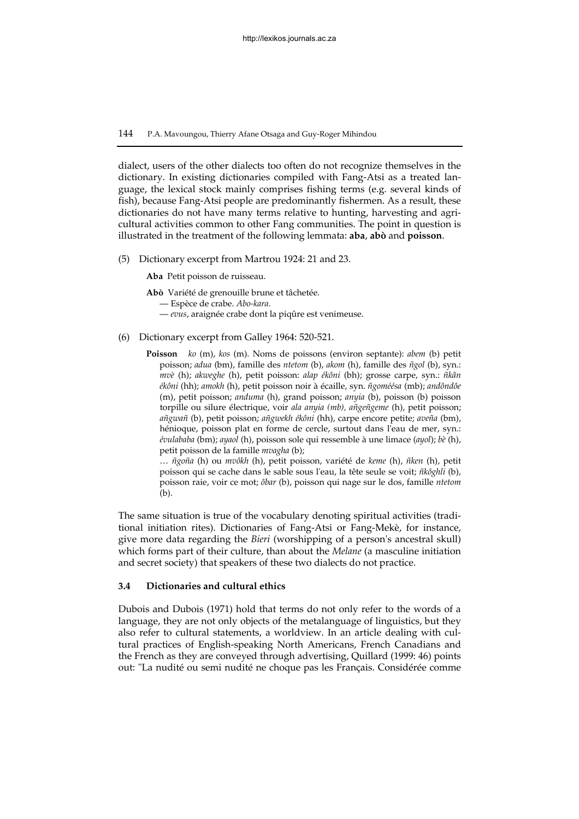dialect, users of the other dialects too often do not recognize themselves in the dictionary. In existing dictionaries compiled with Fang-Atsi as a treated language, the lexical stock mainly comprises fishing terms (e.g. several kinds of fish), because Fang-Atsi people are predominantly fishermen. As a result, these dictionaries do not have many terms relative to hunting, harvesting and agricultural activities common to other Fang communities. The point in question is illustrated in the treatment of the following lemmata: **aba**, **abò** and **poisson**.

(5) Dictionary excerpt from Martrou 1924: 21 and 23.

 **Aba** Petit poisson de ruisseau.

 **Abò** Variété de grenouille brune et tâchetée.

— Espèce de crabe. *Abo-kara*.

- *evus*, araignée crabe dont la piqûre est venimeuse.
- (6) Dictionary excerpt from Galley 1964: 520-521.
	- **Poisson** *ko* (m), *kos* (m). Noms de poissons (environ septante): *abem* (b) petit poisson; *adua* (bm), famille des *ntetom* (b), *akom* (h), famille des *ñgol* (b), syn.: *mvè* (h); *akweghe* (h), petit poisson: *alap ékôni* (bh); grosse carpe, syn.: *ñkãn ékôni* (hh); *amokh* (h), petit poisson noir à écaille, syn. *ñgoméésa* (mb); *andôndôe* (m), petit poisson; *anduma* (h), grand poisson; *anyia* (b), poisson (b) poisson torpille ou silure électrique, voir *ala anyia (mb), añgeñgeme* (h), petit poisson; *añgwañ* (b), petit poisson; *añgwekh ékôni* (hh), carpe encore petite; *aveña* (bm), hénioque, poisson plat en forme de cercle, surtout dans l'eau de mer, syn.: *évulababa* (bm); *ayaol* (h), poisson sole qui ressemble à une limace (*ayol*); *bè* (h), petit poisson de la famille *mvagha* (b);

 … *ñgoña* (h) ou *mvôkh* (h), petit poisson, variété de *keme* (h), *ñken* (h), petit poisson qui se cache dans le sable sous l'eau, la tête seule se voit; *ñkôghli* (b), poisson raie, voir ce mot; *ôbar* (b), poisson qui nage sur le dos, famille *ntetom* (b).

The same situation is true of the vocabulary denoting spiritual activities (traditional initiation rites). Dictionaries of Fang-Atsi or Fang-Mekè, for instance, give more data regarding the *Bieri* (worshipping of a person's ancestral skull) which forms part of their culture, than about the *Melane* (a masculine initiation and secret society) that speakers of these two dialects do not practice.

## **3.4 Dictionaries and cultural ethics**

Dubois and Dubois (1971) hold that terms do not only refer to the words of a language, they are not only objects of the metalanguage of linguistics, but they also refer to cultural statements, a worldview. In an article dealing with cultural practices of English-speaking North Americans, French Canadians and the French as they are conveyed through advertising, Quillard (1999: 46) points out: "La nudité ou semi nudité ne choque pas les Français. Considérée comme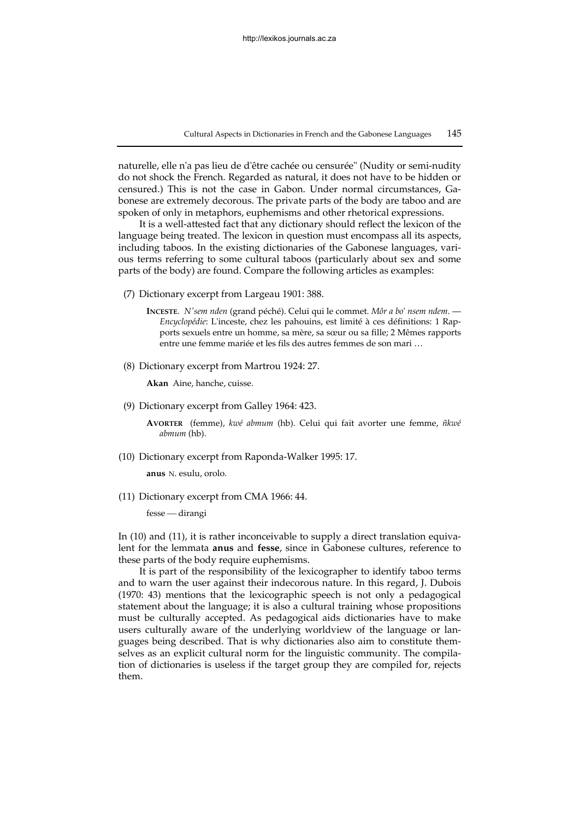naturelle, elle n'a pas lieu de d'être cachée ou censurée" (Nudity or semi-nudity do not shock the French. Regarded as natural, it does not have to be hidden or censured.) This is not the case in Gabon. Under normal circumstances, Gabonese are extremely decorous. The private parts of the body are taboo and are spoken of only in metaphors, euphemisms and other rhetorical expressions.

It is a well-attested fact that any dictionary should reflect the lexicon of the language being treated. The lexicon in question must encompass all its aspects, including taboos. In the existing dictionaries of the Gabonese languages, various terms referring to some cultural taboos (particularly about sex and some parts of the body) are found. Compare the following articles as examples:

- (7) Dictionary excerpt from Largeau 1901: 388.
	- **INCESTE**. *N'sem nden* (grand péché). Celui qui le commet. *Môr a bo*' *nsem ndem*. *Encyclopédie*: L'inceste, chez les pahouins, est limité à ces définitions: 1 Rapports sexuels entre un homme, sa mère, sa sœur ou sa fille; 2 Mêmes rapports entre une femme mariée et les fils des autres femmes de son mari …
- (8) Dictionary excerpt from Martrou 1924: 27.

 **Akan** Aine, hanche, cuisse.

(9) Dictionary excerpt from Galley 1964: 423.

 **AVORTER** (femme), *kwé abmum* (hb). Celui qui fait avorter une femme, *ñkwé abmum* (hb).

(10) Dictionary excerpt from Raponda-Walker 1995: 17.

 **anus** N. esulu, orolo.

(11) Dictionary excerpt from CMA 1966: 44.

fesse — dirangi

In (10) and (11), it is rather inconceivable to supply a direct translation equivalent for the lemmata **anus** and **fesse**, since in Gabonese cultures, reference to these parts of the body require euphemisms.

It is part of the responsibility of the lexicographer to identify taboo terms and to warn the user against their indecorous nature. In this regard, J. Dubois (1970: 43) mentions that the lexicographic speech is not only a pedagogical statement about the language; it is also a cultural training whose propositions must be culturally accepted. As pedagogical aids dictionaries have to make users culturally aware of the underlying worldview of the language or languages being described. That is why dictionaries also aim to constitute themselves as an explicit cultural norm for the linguistic community. The compilation of dictionaries is useless if the target group they are compiled for, rejects them.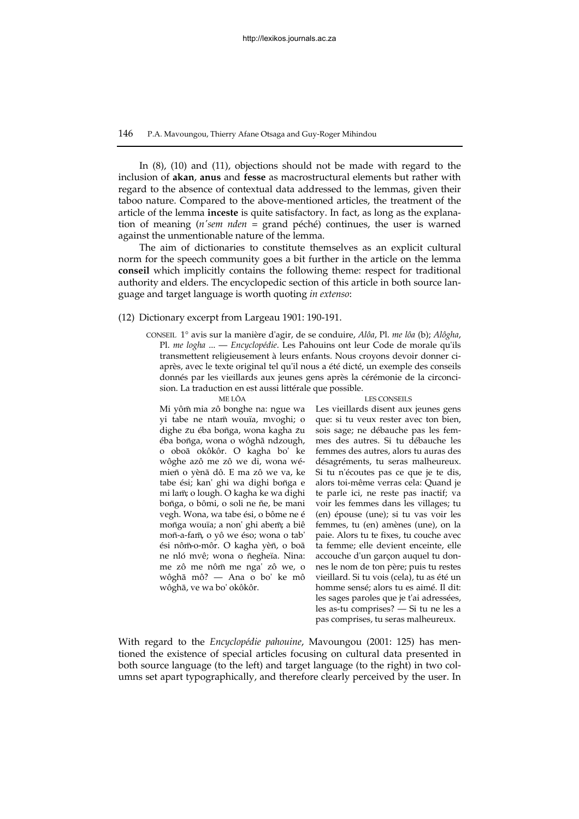In (8), (10) and (11), objections should not be made with regard to the inclusion of **akan**, **anus** and **fesse** as macrostructural elements but rather with regard to the absence of contextual data addressed to the lemmas, given their taboo nature. Compared to the above-mentioned articles, the treatment of the article of the lemma **inceste** is quite satisfactory. In fact, as long as the explanation of meaning (*n'sem nden* = grand péché) continues, the user is warned against the unmentionable nature of the lemma.

The aim of dictionaries to constitute themselves as an explicit cultural norm for the speech community goes a bit further in the article on the lemma **conseil** which implicitly contains the following theme: respect for traditional authority and elders. The encyclopedic section of this article in both source language and target language is worth quoting *in extenso*:

#### (12) Dictionary excerpt from Largeau 1901: 190-191.

CONSEIL 1° avis sur la manière d'agir, de se conduire, *Alôa*, Pl. *me lôa* (b); *Alôgha*, Pl. *me logha* ... — *Encyclopédie*. Les Pahouins ont leur Code de morale qu'ils transmettent religieusement à leurs enfants. Nous croyons devoir donner ciaprès, avec le texte original tel qu'il nous a été dicté, un exemple des conseils donnés par les vieillards aux jeunes gens après la cérémonie de la circoncision. La traduction en est aussi littérale que possible.

#### ME LÔA LES CONSEILS

Mi yôm· mia zô bonghe na: ngue wa yi tabe ne ntam· wouïa, mvoghi; o dighe zu éba boñga, wona kagha zu éba boñga, wona o wôghā ndzough, o oboā okôkôr. O kagha bo' ke wôghe azô me zô we di, wona wémieñ o yènā dô. E ma zô we va, ke tabe ési; kan' ghi wa dighi boñga e mi lam·; o lough. O kagha ke wa dighi boñga, o bômi, o soli ne ñe, be mani vegh. Wona, wa tabe ési, o bôme ne é moñga wouïa; a non' ghi abem; a biê mon·-a-fam·, o yô we éso; wona o tab' ési nôm-o-môr. O kagha yèn, o boā ne nló mvê; wona o ñegheïa. Nina: me zô me nôm· me nga' zô we, o wôghā mô? — Ana o bo' ke mô wôghā, ve wa bo' okôkôr.

Les vieillards disent aux jeunes gens que: si tu veux rester avec ton bien, sois sage; ne débauche pas les femmes des autres. Si tu débauche les femmes des autres, alors tu auras des désagréments, tu seras malheureux. Si tu n'écoutes pas ce que je te dis, alors toi-même verras cela: Quand je te parle ici, ne reste pas inactif; va voir les femmes dans les villages; tu (en) épouse (une); si tu vas voir les femmes, tu (en) amènes (une), on la paie. Alors tu te fixes, tu couche avec ta femme; elle devient enceinte, elle accouche d'un garçon auquel tu donnes le nom de ton père; puis tu restes vieillard. Si tu vois (cela), tu as été un homme sensé; alors tu es aimé. Il dit: les sages paroles que je t'ai adressées, les as-tu comprises? — Si tu ne les a pas comprises, tu seras malheureux.

With regard to the *Encyclopédie pahouine*, Mavoungou (2001: 125) has mentioned the existence of special articles focusing on cultural data presented in both source language (to the left) and target language (to the right) in two columns set apart typographically, and therefore clearly perceived by the user. In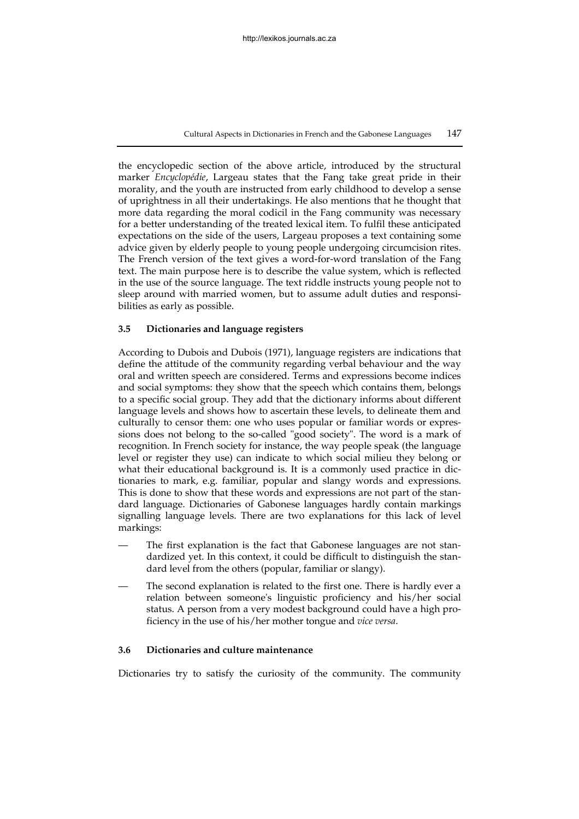the encyclopedic section of the above article, introduced by the structural marker *Encyclopédie*, Largeau states that the Fang take great pride in their morality, and the youth are instructed from early childhood to develop a sense of uprightness in all their undertakings. He also mentions that he thought that more data regarding the moral codicil in the Fang community was necessary for a better understanding of the treated lexical item. To fulfil these anticipated expectations on the side of the users, Largeau proposes a text containing some advice given by elderly people to young people undergoing circumcision rites. The French version of the text gives a word-for-word translation of the Fang text. The main purpose here is to describe the value system, which is reflected in the use of the source language. The text riddle instructs young people not to sleep around with married women, but to assume adult duties and responsibilities as early as possible.

# **3.5 Dictionaries and language registers**

According to Dubois and Dubois (1971), language registers are indications that define the attitude of the community regarding verbal behaviour and the way oral and written speech are considered. Terms and expressions become indices and social symptoms: they show that the speech which contains them, belongs to a specific social group. They add that the dictionary informs about different language levels and shows how to ascertain these levels, to delineate them and culturally to censor them: one who uses popular or familiar words or expressions does not belong to the so-called "good society". The word is a mark of recognition. In French society for instance, the way people speak (the language level or register they use) can indicate to which social milieu they belong or what their educational background is. It is a commonly used practice in dictionaries to mark, e.g. familiar, popular and slangy words and expressions. This is done to show that these words and expressions are not part of the standard language. Dictionaries of Gabonese languages hardly contain markings signalling language levels. There are two explanations for this lack of level markings:

- The first explanation is the fact that Gabonese languages are not standardized yet. In this context, it could be difficult to distinguish the standard level from the others (popular, familiar or slangy).
- The second explanation is related to the first one. There is hardly ever a relation between someone's linguistic proficiency and his/her social status. A person from a very modest background could have a high proficiency in the use of his/her mother tongue and *vice versa*.

# **3.6 Dictionaries and culture maintenance**

Dictionaries try to satisfy the curiosity of the community. The community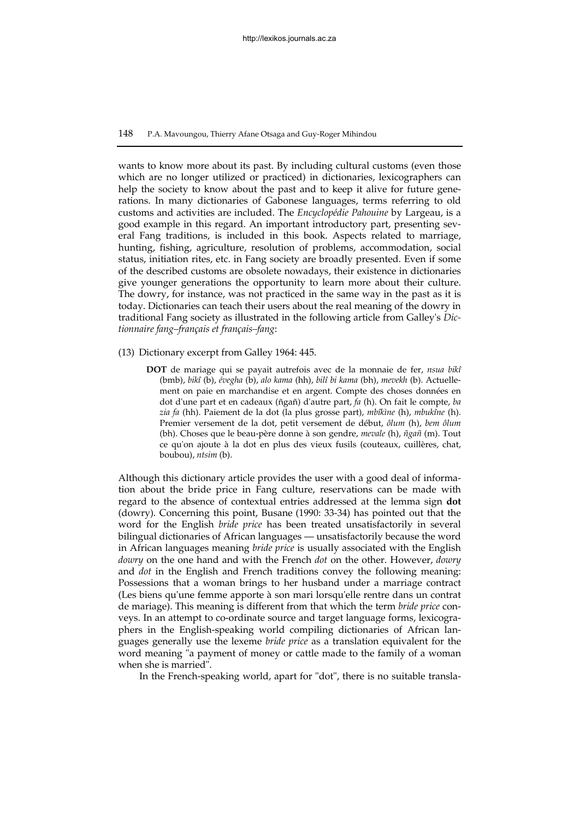wants to know more about its past. By including cultural customs (even those which are no longer utilized or practiced) in dictionaries, lexicographers can help the society to know about the past and to keep it alive for future generations. In many dictionaries of Gabonese languages, terms referring to old customs and activities are included. The *Encyclopédie Pahouine* by Largeau, is a good example in this regard. An important introductory part, presenting several Fang traditions, is included in this book. Aspects related to marriage, hunting, fishing, agriculture, resolution of problems, accommodation, social status, initiation rites, etc. in Fang society are broadly presented. Even if some of the described customs are obsolete nowadays, their existence in dictionaries give younger generations the opportunity to learn more about their culture. The dowry, for instance, was not practiced in the same way in the past as it is today. Dictionaries can teach their users about the real meaning of the dowry in traditional Fang society as illustrated in the following article from Galley's *Dictionnaire fang–français et français–fang*:

## (13) Dictionary excerpt from Galley 1964: 445.

 **DOT** de mariage qui se payait autrefois avec de la monnaie de fer, *nsua bikî* (bmb), *bikî* (b), *évegha* (b), *alo kama* (hh), *bilî bi kama* (bh), *mevekh* (b). Actuellement on paie en marchandise et en argent. Compte des choses données en dot d'une part et en cadeaux (ñgañ) d'autre part, *fa* (h). On fait le compte, *ba zia fa* (hh). Paiement de la dot (la plus grosse part), *mbîkìne* (h), *mbukîne* (h). Premier versement de la dot, petit versement de début, *ôlum* (h), *bem ôlum* (bh). Choses que le beau-père donne à son gendre, *mevale* (h), *ñgañ* (m). Tout ce qu'on ajoute à la dot en plus des vieux fusils (couteaux, cuillères, chat, boubou), *ntsim* (b).

Although this dictionary article provides the user with a good deal of information about the bride price in Fang culture, reservations can be made with regard to the absence of contextual entries addressed at the lemma sign **dot** (dowry). Concerning this point, Busane (1990: 33-34) has pointed out that the word for the English *bride price* has been treated unsatisfactorily in several bilingual dictionaries of African languages — unsatisfactorily because the word in African languages meaning *bride price* is usually associated with the English *dowry* on the one hand and with the French *dot* on the other. However, *dowry* and *dot* in the English and French traditions convey the following meaning: Possessions that a woman brings to her husband under a marriage contract (Les biens qu'une femme apporte à son mari lorsqu'elle rentre dans un contrat de mariage). This meaning is different from that which the term *bride price* conveys. In an attempt to co-ordinate source and target language forms, lexicographers in the English-speaking world compiling dictionaries of African languages generally use the lexeme *bride price* as a translation equivalent for the word meaning "a payment of money or cattle made to the family of a woman when she is married".

In the French-speaking world, apart for "dot", there is no suitable transla-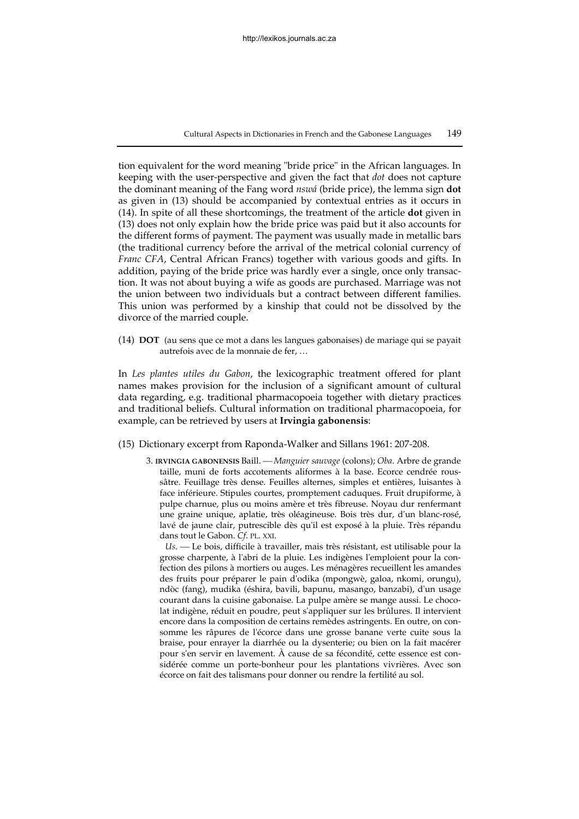Cultural Aspects in Dictionaries in French and the Gabonese Languages 149

tion equivalent for the word meaning "bride price" in the African languages. In keeping with the user-perspective and given the fact that *dot* does not capture the dominant meaning of the Fang word *nswá* (bride price), the lemma sign **dot** as given in (13) should be accompanied by contextual entries as it occurs in (14). In spite of all these shortcomings, the treatment of the article **dot** given in (13) does not only explain how the bride price was paid but it also accounts for the different forms of payment. The payment was usually made in metallic bars (the traditional currency before the arrival of the metrical colonial currency of *Franc CFA*, Central African Francs) together with various goods and gifts. In addition, paying of the bride price was hardly ever a single, once only transaction. It was not about buying a wife as goods are purchased. Marriage was not the union between two individuals but a contract between different families. This union was performed by a kinship that could not be dissolved by the divorce of the married couple.

(14) **DOT** (au sens que ce mot a dans les langues gabonaises) de mariage qui se payait autrefois avec de la monnaie de fer, …

In *Les plantes utiles du Gabon*, the lexicographic treatment offered for plant names makes provision for the inclusion of a significant amount of cultural data regarding, e.g. traditional pharmacopoeia together with dietary practices and traditional beliefs. Cultural information on traditional pharmacopoeia, for example, can be retrieved by users at **Irvingia gabonensis**:

- (15) Dictionary excerpt from Raponda-Walker and Sillans 1961: 207-208.
	- 3. **IRVINGIA GABONENSIS** Baill. *Manguier sauvage* (colons); *Oba*. Arbre de grande taille, muni de forts accotements aliformes à la base. Ecorce cendrée roussâtre. Feuillage très dense. Feuilles alternes, simples et entières, luisantes à face inférieure. Stipules courtes, promptement caduques. Fruit drupiforme, à pulpe charnue, plus ou moins amère et très fibreuse. Noyau dur renfermant une graine unique, aplatie, très oléagineuse. Bois très dur, d'un blanc-rosé, lavé de jaune clair, putrescible dès qu'il est exposé à la pluie. Très répandu dans tout le Gabon. *Cf*. PL. XXI.

 *Us*. Le bois, difficile à travailler, mais très résistant, est utilisable pour la grosse charpente, à l'abri de la pluie. Les indigènes l'emploient pour la confection des pilons à mortiers ou auges. Les ménagères recueillent les amandes des fruits pour préparer le pain d'odika (mpongwè, galoa, nkomi, orungu), ndòc (fang), mudika (éshira, bavili, bapunu, masango, banzabi), d'un usage courant dans la cuisine gabonaise. La pulpe amère se mange aussi. Le chocolat indigène, réduit en poudre, peut s'appliquer sur les brûlures. Il intervient encore dans la composition de certains remèdes astringents. En outre, on consomme les râpures de l'écorce dans une grosse banane verte cuite sous la braise, pour enrayer la diarrhée ou la dysenterie; ou bien on la fait macérer pour s'en servir en lavement. À cause de sa fécondité, cette essence est considérée comme un porte-bonheur pour les plantations vivrières. Avec son écorce on fait des talismans pour donner ou rendre la fertilité au sol.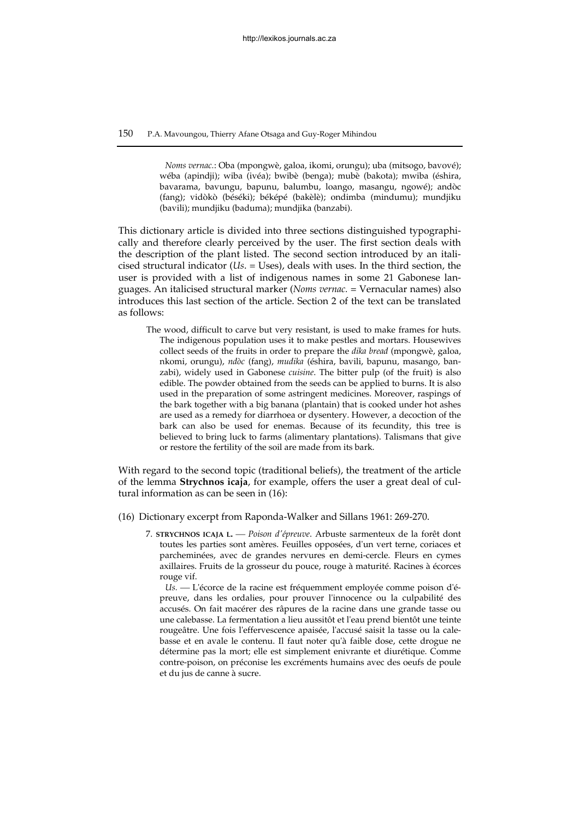*Noms vernac.*: Oba (mpongwè, galoa, ikomi, orungu); uba (mitsogo, bavové); wéba (apindji); wiba (ivéa); bwibè (benga); mubè (bakota); mwiba (éshira, bavarama, bavungu, bapunu, balumbu, loango, masangu, ngowé); andòc (fang); vidòkò (béséki); béképé (bakèlè); ondimba (mindumu); mundjiku (bavili); mundjiku (baduma); mundjika (banzabi).

This dictionary article is divided into three sections distinguished typographically and therefore clearly perceived by the user. The first section deals with the description of the plant listed. The second section introduced by an italicised structural indicator (*Us*. = Uses), deals with uses. In the third section, the user is provided with a list of indigenous names in some 21 Gabonese languages. An italicised structural marker (*Noms vernac.* = Vernacular names) also introduces this last section of the article. Section 2 of the text can be translated as follows:

The wood, difficult to carve but very resistant, is used to make frames for huts. The indigenous population uses it to make pestles and mortars. Housewives collect seeds of the fruits in order to prepare the *dika bread* (mpongwè, galoa, nkomi, orungu), *ndòc* (fang), *mudika* (éshira, bavili, bapunu, masango, banzabi), widely used in Gabonese *cuisine*. The bitter pulp (of the fruit) is also edible. The powder obtained from the seeds can be applied to burns. It is also used in the preparation of some astringent medicines. Moreover, raspings of the bark together with a big banana (plantain) that is cooked under hot ashes are used as a remedy for diarrhoea or dysentery. However, a decoction of the bark can also be used for enemas. Because of its fecundity, this tree is believed to bring luck to farms (alimentary plantations). Talismans that give or restore the fertility of the soil are made from its bark.

With regard to the second topic (traditional beliefs), the treatment of the article of the lemma **Strychnos icaja**, for example, offers the user a great deal of cultural information as can be seen in (16):

- (16) Dictionary excerpt from Raponda-Walker and Sillans 1961: 269-270.
	- 7. **STRYCHNOS ICAJA L.** *Poison d'épreuve*. Arbuste sarmenteux de la forêt dont toutes les parties sont amères. Feuilles opposées, d'un vert terne, coriaces et parcheminées, avec de grandes nervures en demi-cercle. Fleurs en cymes axillaires. Fruits de la grosseur du pouce, rouge à maturité. Racines à écorces rouge vif.

 *Us.* L'écorce de la racine est fréquemment employée comme poison d'épreuve, dans les ordalies, pour prouver l'innocence ou la culpabilité des accusés. On fait macérer des râpures de la racine dans une grande tasse ou une calebasse. La fermentation a lieu aussitôt et l'eau prend bientôt une teinte rougeâtre. Une fois l'effervescence apaisée, l'accusé saisit la tasse ou la calebasse et en avale le contenu. Il faut noter qu'à faible dose, cette drogue ne détermine pas la mort; elle est simplement enivrante et diurétique. Comme contre-poison, on préconise les excréments humains avec des oeufs de poule et du jus de canne à sucre.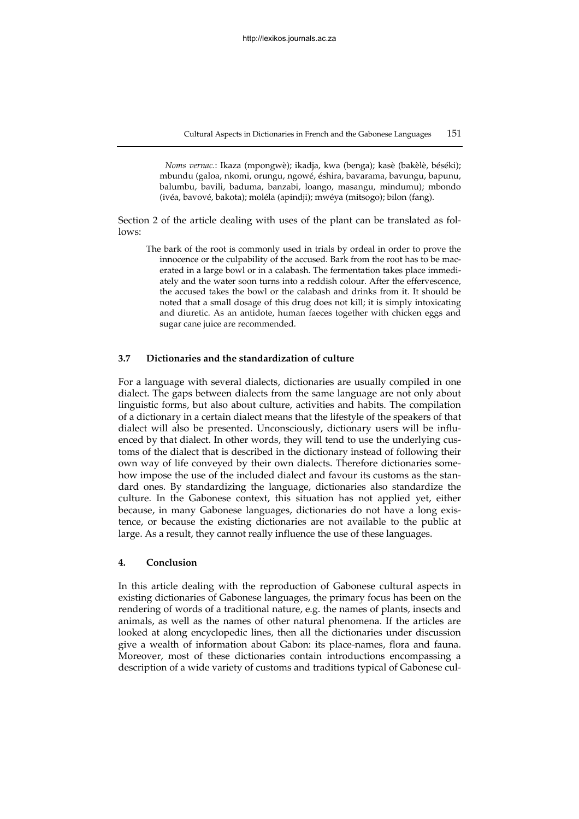*Noms vernac.*: Ikaza (mpongwè); ikadja, kwa (benga); kasè (bakèlè, béséki); mbundu (galoa, nkomi, orungu, ngowé, éshira, bavarama, bavungu, bapunu, balumbu, bavili, baduma, banzabi, loango, masangu, mindumu); mbondo (ivéa, bavové, bakota); moléla (apindji); mwéya (mitsogo); bilon (fang).

Section 2 of the article dealing with uses of the plant can be translated as follows:

 The bark of the root is commonly used in trials by ordeal in order to prove the innocence or the culpability of the accused. Bark from the root has to be macerated in a large bowl or in a calabash. The fermentation takes place immediately and the water soon turns into a reddish colour. After the effervescence, the accused takes the bowl or the calabash and drinks from it. It should be noted that a small dosage of this drug does not kill; it is simply intoxicating and diuretic. As an antidote, human faeces together with chicken eggs and sugar cane juice are recommended.

# **3.7 Dictionaries and the standardization of culture**

For a language with several dialects, dictionaries are usually compiled in one dialect. The gaps between dialects from the same language are not only about linguistic forms, but also about culture, activities and habits. The compilation of a dictionary in a certain dialect means that the lifestyle of the speakers of that dialect will also be presented. Unconsciously, dictionary users will be influenced by that dialect. In other words, they will tend to use the underlying customs of the dialect that is described in the dictionary instead of following their own way of life conveyed by their own dialects. Therefore dictionaries somehow impose the use of the included dialect and favour its customs as the standard ones. By standardizing the language, dictionaries also standardize the culture. In the Gabonese context, this situation has not applied yet, either because, in many Gabonese languages, dictionaries do not have a long existence, or because the existing dictionaries are not available to the public at large. As a result, they cannot really influence the use of these languages.

## **4. Conclusion**

In this article dealing with the reproduction of Gabonese cultural aspects in existing dictionaries of Gabonese languages, the primary focus has been on the rendering of words of a traditional nature, e.g. the names of plants, insects and animals, as well as the names of other natural phenomena. If the articles are looked at along encyclopedic lines, then all the dictionaries under discussion give a wealth of information about Gabon: its place-names, flora and fauna. Moreover, most of these dictionaries contain introductions encompassing a description of a wide variety of customs and traditions typical of Gabonese cul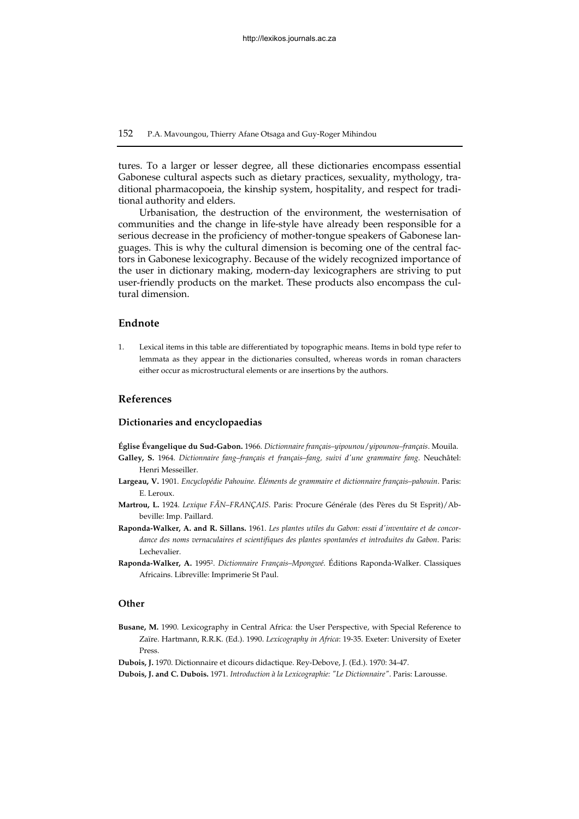tures. To a larger or lesser degree, all these dictionaries encompass essential Gabonese cultural aspects such as dietary practices, sexuality, mythology, traditional pharmacopoeia, the kinship system, hospitality, and respect for traditional authority and elders.

Urbanisation, the destruction of the environment, the westernisation of communities and the change in life-style have already been responsible for a serious decrease in the proficiency of mother-tongue speakers of Gabonese languages. This is why the cultural dimension is becoming one of the central factors in Gabonese lexicography. Because of the widely recognized importance of the user in dictionary making, modern-day lexicographers are striving to put user-friendly products on the market. These products also encompass the cultural dimension.

# **Endnote**

1. Lexical items in this table are differentiated by topographic means. Items in bold type refer to lemmata as they appear in the dictionaries consulted, whereas words in roman characters either occur as microstructural elements or are insertions by the authors.

# **References**

### **Dictionaries and encyclopaedias**

**Église Évangelique du Sud-Gabon.** 1966. *Dictionnaire français–yipounou*/*yipounou–français*. Mouila.

- **Galley, S.** 1964. *Dictionnaire fang–français et français–fang, suivi d'une grammaire fang*. Neuchâtel: Henri Messeiller.
- **Largeau, V.** 1901. *Encyclopédie Pahouine. Éléments de grammaire et dictionnaire français–pahouin*. Paris: E. Leroux.
- **Martrou, L.** 1924. *Lexique FÃN–FRANÇAIS*. Paris: Procure Générale (des Pères du St Esprit)/Abbeville: Imp. Paillard.
- **Raponda-Walker, A. and R. Sillans.** 1961. *Les plantes utiles du Gabon: essai d'inventaire et de concordance des noms vernaculaires et scientifiques des plantes spontanées et introduites du Gabon*. Paris: Lechevalier.
- **Raponda-Walker, A.** 19952. *Dictionnaire Français–Mpongwé*. Éditions Raponda-Walker. Classiques Africains. Libreville: Imprimerie St Paul.

#### **Other**

- **Busane, M.** 1990. Lexicography in Central Africa: the User Perspective, with Special Reference to Zaïre. Hartmann, R.R.K. (Ed.). 1990. *Lexicography in Africa*: 19-35. Exeter: University of Exeter Press.
- **Dubois, J.** 1970. Dictionnaire et dicours didactique. Rey-Debove, J. (Ed.). 1970: 34-47.
- **Dubois, J. and C. Dubois.** 1971. *Introduction à la Lexicographie: "Le Dictionnaire"*. Paris: Larousse.